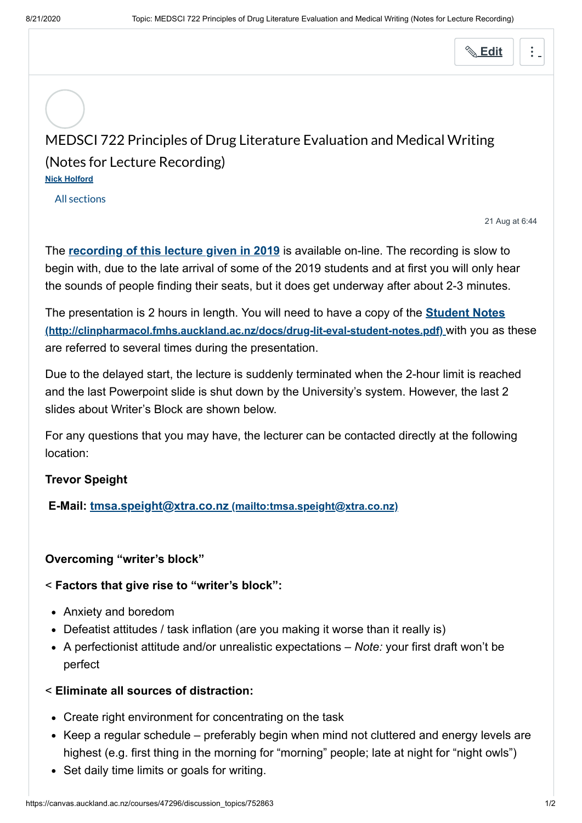**[Edit](https://canvas.auckland.ac.nz/courses/47296/discussion_topics/752863/edit)**

# MEDSCI 722 Principles of Drug Literature Evaluation and Medical Writing (Notes for Lecture Recording) **[Nick Holford](https://canvas.auckland.ac.nz/courses/47296/users/42932)**

All sections

21 Aug at 6:44

The **[recording of this lecture given in 2019](https://canvas.auckland.ac.nz/courses/47296/pages/medsci-722-2019-lecture-recordings)** is available on-line. The recording is slow to begin with, due to the late arrival of some of the 2019 students and at first you will only hear the sounds of people finding their seats, but it does get underway after about 2-3 minutes.

[The presentation is 2 hours in length. You will need to have a copy of the](http://clinpharmacol.fmhs.auckland.ac.nz/docs/drug-lit-eval-student-notes.pdf) **Student Notes (http://clinpharmacol.fmhs.auckland.ac.nz/docs/drug-lit-eval-student-notes.pdf)** with you as these are referred to several times during the presentation.

Due to the delayed start, the lecture is suddenly terminated when the 2-hour limit is reached and the last Powerpoint slide is shut down by the University's system. However, the last 2 slides about Writer's Block are shown below.

For any questions that you may have, the lecturer can be contacted directly at the following location:

## **Trevor Speight**

**E-Mail: tmsa.speight@xtra.co.nz [\(mailto:tmsa.speight@xtra.co.nz\)](mailto:tmsa.speight@xtra.co.nz)**

## **Overcoming "writer's block"**

## < **Factors that give rise to "writer's block":**

- Anxiety and boredom
- Defeatist attitudes / task inflation (are you making it worse than it really is)
- A perfectionist attitude and/or unrealistic expectations *Note:* your first draft won't be perfect

## < **Eliminate all sources of distraction:**

- Create right environment for concentrating on the task
- Keep a regular schedule preferably begin when mind not cluttered and energy levels are highest (e.g. first thing in the morning for "morning" people; late at night for "night owls")
- Set daily time limits or goals for writing.